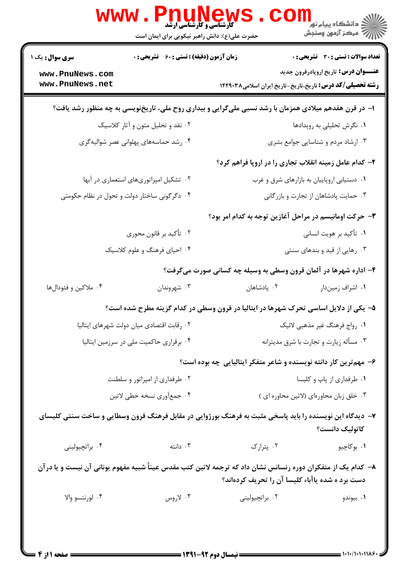| <b>تعداد سوالات : تستی : 30 ٪ تشریحی : 0</b>                                                                                                                    |                                            | <b>زمان آزمون (دقیقه) : تستی : 60 ٪ تشریحی : 0</b><br><b>سری سوال :</b> یک ۱ |                                        |  |
|-----------------------------------------------------------------------------------------------------------------------------------------------------------------|--------------------------------------------|------------------------------------------------------------------------------|----------------------------------------|--|
| <b>عنـــوان درس:</b> تاریخ اروپادرقرون جدید                                                                                                                     |                                            |                                                                              | www.PnuNews.com                        |  |
| <b>رشته تحصیلی/کد درس:</b> تاریخ،تاریخ-تاریخ ایران اسلامی۱۲۲۹۰۳۸                                                                                                |                                            |                                                                              | www.PnuNews.net                        |  |
| ۱– در قرن هفدهم میلادی همزمان با رشد نسبی ملیگرایی و بیداری روح ملی، تاریخنویسی به چه منظور رشد یافت؟                                                           |                                            |                                                                              |                                        |  |
| ۰۱ نگرش تحلیلی به رویدادها                                                                                                                                      |                                            | ۰۲ نقد و تحلیل متون و آثار کلاسیک                                            |                                        |  |
| ۰۳ ارشاد مردم و شناسایی جوامع بشری                                                                                                                              |                                            | ۰۴ رشد حماسههای پهلوانی عصر شوالیه گری                                       |                                        |  |
| ۲- کدام عامل زمینه انقلاب تجاری را در اروپا فراهم کرد؟                                                                                                          |                                            |                                                                              |                                        |  |
|                                                                                                                                                                 | ۰۱ دستیابی اروپاییان به بازارهای شرق و غرب |                                                                              | ۰۲ تشکیل امپراتوریهای استعماری در آبها |  |
| ۰۳ حمایت پادشاهان از تجارت و بازرگانی                                                                                                                           |                                            | ۰۴ دگرگونی ساختار دولت و تحول در نظام حکومتی                                 |                                        |  |
| ۳- حرکت اومانیسم در مراحل آغازین توجه به کدام امر بود؟                                                                                                          |                                            |                                                                              |                                        |  |
| ۰۱ تأکید بر هویت انسانی                                                                                                                                         |                                            | ۰۲ تأكيد بر قانون محوري                                                      |                                        |  |
| ۰۳ رهایی از قید و بندهای سنتی                                                                                                                                   |                                            | ۴. احیای فرهنگ و علوم کلاسیک                                                 |                                        |  |
| ۴- اداره شهرها در آلمان قرون وسطی به وسیله چه کسانی صورت میگرفت؟                                                                                                |                                            |                                                                              |                                        |  |
| ٠١. اشراف زميندار                                                                                                                                               | ۰۲ پادشاهان                                | ۰۳ شهروندان                                                                  | ۰۴ ملاکین و فئودالها                   |  |
| ۵– یکی از دلایل اساسی تحرک شهرها در ایتالیا در قرون وسطی در کدام گزینه مطرح شده است؟                                                                            |                                            |                                                                              |                                        |  |
| ۰۱ رواج فرهنگ غیر مذهبی لائیک                                                                                                                                   | ٠٢ رقابت اقتصادى ميان دولت شهرهاى ايتاليا  |                                                                              |                                        |  |
| ۰۳ مسأله زيارت و تجارت با شرق مديترانه                                                                                                                          |                                            | ۰۴ برقراری حاکمیت ملی در سرزمین ایتالیا                                      |                                        |  |
| ۶- مهم ترین کار دانته نویسنده و شاعر متفکر ایتالیایی چه بوده است؟                                                                                               |                                            |                                                                              |                                        |  |
| ۰۱ طرفداري از پاپ و كليسا                                                                                                                                       | ۰۲ طرفداری از امپراتور و سلطنت             |                                                                              |                                        |  |
| ٠٣ خلق زبان محاورهاي (لاتين محاوره اي)                                                                                                                          | ۰۴ جمعأوري نسخه خطي لاتين                  |                                                                              |                                        |  |
| ۷– دیدگاه این نویسنده را باید پاسخی مثبت به فرهنگ بورژوایی در مقابل فرهنگ قرون وسطایی و ساخت سنتی کلیسای<br>كاتوليك دانست؟                                      |                                            |                                                                              |                                        |  |
| ۰۱ بوکاچيو                                                                                                                                                      | ۰۲ پترارک                                  | ا دانته $\cdot$                                                              | ۰۴ براتچيوليني                         |  |
| ۸– کدام یک از متفکران دوره رنسانس نشان داد که ترجمه لاتین کتب مقدس عیناً شبیه مفهوم یونانی آن نیست و یا درآن<br>دست برد ه شده یاآباء کلیسا آن را تحریف کردهاند؟ |                                            |                                                                              |                                        |  |
| ۰۱ بیوندو                                                                                                                                                       | ۰۲ براتچیولینی                             | ۰۳ لاروس                                                                     | ۰۴ لورنتسو والا                        |  |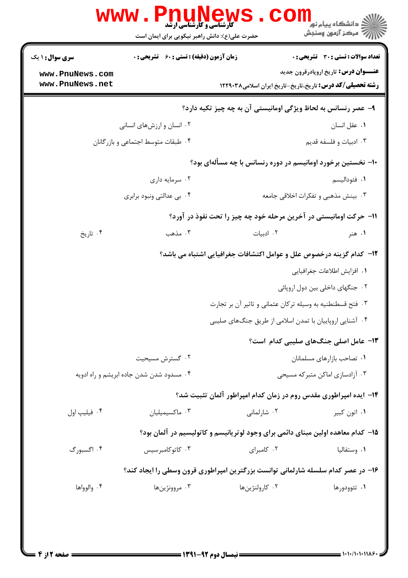| <b>سری سوال :</b> ۱ یک                                            | <b>زمان آزمون (دقیقه) : تستی : 60 ٪ تشریحی : 0</b>                               |                                                                      | تعداد سوالات : تستى : 30 قشريحى : 0         |  |
|-------------------------------------------------------------------|----------------------------------------------------------------------------------|----------------------------------------------------------------------|---------------------------------------------|--|
| www.PnuNews.com                                                   |                                                                                  |                                                                      | <b>عنـــوان درس:</b> تاریخ اروپادرقرون جدید |  |
| www.PnuNews.net                                                   |                                                                                  | <b>رشته تحصیلی/کد درس:</b> تاریخ،تاریخ-تاریخ ایران اسلامی۱۲۲۹۰۳۸     |                                             |  |
|                                                                   |                                                                                  | ۹- عصر رنسانس به لحاظ ویژگی اومانیستی آن به چه چیز تکیه دارد؟        |                                             |  |
|                                                                   | ۰۲ انسان و ارزشهای انسانی                                                        |                                                                      | ۰۱ عقل انسان                                |  |
|                                                                   | ۰۴ طبقات متوسط اجتماعی و بازرگانان                                               |                                                                      | ۰۳ ادبیات و فلسفه قدیم                      |  |
|                                                                   |                                                                                  | ۱۰- نخستین برخورد اومانیسم در دوره رنسانس با چه مسألهای بود؟         |                                             |  |
|                                                                   | ۰۲ سرمایه داری                                                                   |                                                                      | ٠١ فئوداليسم                                |  |
|                                                                   | ۰۴ بی عدالتی ونبود برابری                                                        |                                                                      | ۰۳ بینش مذهبی و تفکرات اخلاقی جامعه         |  |
| 1۱- حرکت اومانیستی در آخرین مرحله خود چه چیز را تحت نفوذ در آورد؟ |                                                                                  |                                                                      |                                             |  |
| ۰۴ تاریخ                                                          | ۰۳ مذهب                                                                          | ۰۲ ادبیات                                                            | ۰۱ هنر                                      |  |
|                                                                   |                                                                                  | ۱۲- کدام گزینه درخصوص علل و عوامل اکتشافات جغرافیایی اشتباه می باشد؟ |                                             |  |
|                                                                   |                                                                                  |                                                                      | ٠١. افزايش اطلاعات جغرافيايي                |  |
|                                                                   |                                                                                  |                                                                      | ۰۲ جنگهای داخلی بین دول اروپائی             |  |
|                                                                   | ۰۳ فتح قسطنطنیه به وسیله ترکان عثمانی و تاثیر آن بر تجارت                        |                                                                      |                                             |  |
|                                                                   |                                                                                  | ۰۴ آشنایی اروپاییان با تمدن اسلامی از طریق جنگهای صلیبی              |                                             |  |
|                                                                   |                                                                                  |                                                                      | 1۳- عامل اصلی جنگهای صلیبی کدام است؟        |  |
|                                                                   | ۰۲ گسترش مسیحیت                                                                  |                                                                      | ٠١ تصاحب بازارهاى مسلمانان                  |  |
|                                                                   | ۰۴ مسدود شدن شدن جاده ابریشم و راه ادویه                                         | ۰۳ آزادسازی اماکن متبرکه مسیحی                                       |                                             |  |
|                                                                   |                                                                                  | ۱۴– ایده امپراطوری مقدس روم در زمان کدام امپراطور آلمان تثبیت شد؟    |                                             |  |
| ۰۴ فیلیپ اول                                                      | ۰۳ ماكسيميليان                                                                   | ۰۲ شارلمانی                                                          | ۰۱ اتون کبیر                                |  |
|                                                                   | ۱۵– کدام معاهده اولین مبنای دائمی برای وجود لوتریانیسم و کاتولیسیم در آلمان بود؟ |                                                                      |                                             |  |
| ۰۴ اگسبورگ                                                        | ۰۳ کاتوکامبرسیس                                                                  | ٠٢ كامبراى                                                           | ۰۱ وستفاليا                                 |  |
|                                                                   | ۱۶- در عصر کدام سلسله شارلمانی توانست بزرگترین امپراطوری قرون وسطی را ایجاد کند؟ |                                                                      |                                             |  |
| ۰۴ والوواها                                                       | ۰۳ مروونژینها                                                                    | ۰۲ کارولنژینها                                                       | ۰۱ تئوودورها                                |  |
|                                                                   |                                                                                  |                                                                      |                                             |  |

 $= 1.1 - (1.111)$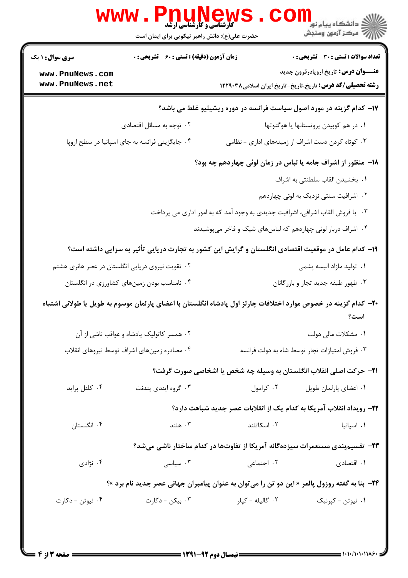| <b>تعداد سوالات : تستی : 30 ٪ تشریحی : 0</b>                                                                            |                                                                                   | <b>زمان آزمون (دقیقه) : تستی : 60 ٪ تشریحی : 0</b>                         |                                              |  |  |
|-------------------------------------------------------------------------------------------------------------------------|-----------------------------------------------------------------------------------|----------------------------------------------------------------------------|----------------------------------------------|--|--|
| <b>عنـــوان درس:</b> تاریخ اروپادرقرون جدید<br><b>رشته تحصیلی/کد درس:</b> تاریخ،تاریخ-تاریخ ایران اسلامی۱۲۲۹۰۳۸         |                                                                                   |                                                                            | www.PnuNews.com<br>www.PnuNews.net           |  |  |
|                                                                                                                         |                                                                                   |                                                                            |                                              |  |  |
| ٠١ در هم كوبيدن پروتستانها يا هوگنوتها                                                                                  | ۱۷- کدام گزینه در مورد اصول سیاست فرانسه در دوره ریشیلیو غلط می باشد؟             |                                                                            |                                              |  |  |
| ۰۳ کوتاه کردن دست اشراف از زمینههای اداری - نظامی                                                                       |                                                                                   | ۰۲ توجه به مسائل اقتصادی<br>۰۴ جایگزینی فرانسه به جای اسپانیا در سطح اروپا |                                              |  |  |
|                                                                                                                         |                                                                                   |                                                                            |                                              |  |  |
| 18- منظور از اشراف جامه یا لباس در زمان لوئی چهاردهم چه بود؟                                                            |                                                                                   |                                                                            |                                              |  |  |
| ٠١. بخشيدن القاب سلطنتي به اشراف                                                                                        |                                                                                   |                                                                            |                                              |  |  |
| ۰۲ اشرافیت سنتی نزدیک به لوئی چهاردهم                                                                                   |                                                                                   |                                                                            |                                              |  |  |
| ۰۳ با فروش القاب اشرافی، اشرافیت جدیدی به وجود آمد که به امور اداری می پرداخت                                           |                                                                                   |                                                                            |                                              |  |  |
| ۰۴ اشراف دربار لوئی چهاردهم که لباسهای شیک و فاخر میپوشیدند                                                             |                                                                                   |                                                                            |                                              |  |  |
| ۱۹- کدام عامل در موقعیت اقتصادی انگلستان و گرایش این کشور به تجارت دریایی تأثیر به سزایی داشته است؟                     |                                                                                   |                                                                            |                                              |  |  |
| ۰۱ تولید مازاد البسه پشمی                                                                                               |                                                                                   | ۰۲ تقویت نیروی دریایی انگلستان در عصر هانری هشتم                           |                                              |  |  |
|                                                                                                                         | ۰۳ ظهور طبقه جدید تجار و بازرگانان<br>۰۴ نامناسب بودن زمینهای کشاورزی در انگلستان |                                                                            |                                              |  |  |
| +۲- کدام گزینه در خصوص موارد اختلافات چارلز اول پادشاه انگلستان با اعضای پارلمان موسوم به طویل یا طولانی اشتباه<br>است؟ |                                                                                   |                                                                            |                                              |  |  |
| ۰۱ مشکلات مالی دولت                                                                                                     |                                                                                   | ۰۲ همسر کاتولیک پادشاه و عواقب ناشی از آن                                  |                                              |  |  |
| ۰۳ فروش امتيازات تجار توسط شاه به دولت فرانسه                                                                           |                                                                                   |                                                                            | ۰۴ مصادره زمین های اشراف توسط نیروهای انقلاب |  |  |
| <b>۲۱</b> - حرکت اصلی انقلاب انگلستان به وسیله چه شخص یا اشخاصی صورت گرفت؟                                              |                                                                                   |                                                                            |                                              |  |  |
| ٠١ اعضاى پارلمان طويل                                                                                                   | ۰۲ کرامول                                                                         | ۰۳ گروه ایندی پندنت                                                        | ۰۴ کلنل پراید                                |  |  |
| <b>۲۲</b> – رویداد انقلاب آمریکا به کدام یک از انقلابات عصر جدید شباهت دارد؟                                            |                                                                                   |                                                                            |                                              |  |  |
| ۰۱ اسپانیا                                                                                                              | ٠٢ اسكاتلند                                                                       | ۰۳ هلند                                                                    | ۰۴ انگلستان                                  |  |  |
|                                                                                                                         |                                                                                   |                                                                            |                                              |  |  |
| ۲۳- تقسیمبندی مستعمرات سیزدهگانه آمریکا از تفاوتها در کدام ساختار ناشی میشد؟                                            |                                                                                   |                                                                            |                                              |  |  |
| ۰۱ اقتصادی                                                                                                              | ۰۲ اجتما <i>ع</i> ی                                                               | $\cdot^{\mathsf{m}}$ سياسى . $\mathsf{r}$                                  | ۰۴ نژادی                                     |  |  |
| <b>34− بنا به گفته روزول پالمر « این دو تن را میتوان به عنوان پیامبران جهانی عصر جدید نام برد »؟</b>                    |                                                                                   |                                                                            |                                              |  |  |
| ۰۱ نیوتن - کپرنیک                                                                                                       | ۰۲ گاليله - کپلر                                                                  | ۰۳ بیکن - دکارت                                                            | ۰۴ نیوتن - دکارت                             |  |  |